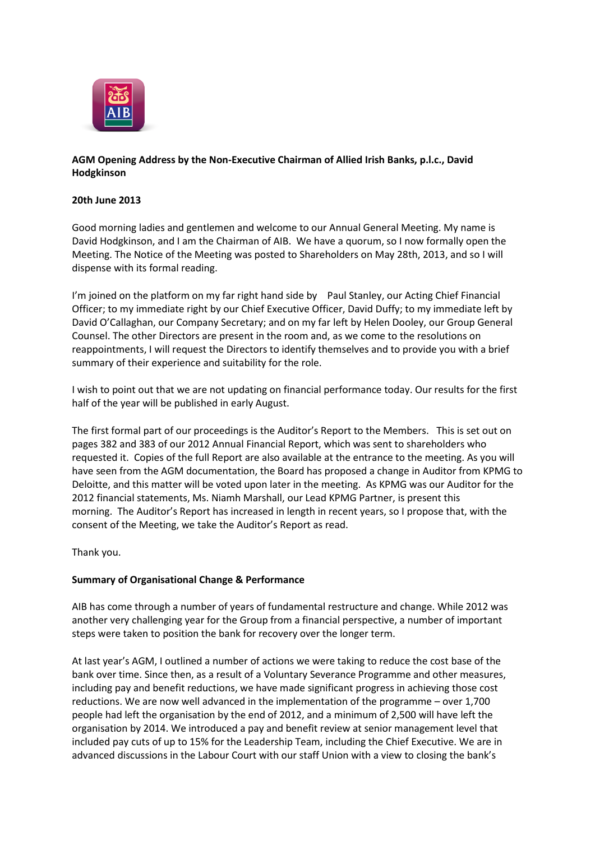

# **AGM Opening Address by the Non-Executive Chairman of Allied Irish Banks, p.l.c., David Hodgkinson**

## **20th June 2013**

Good morning ladies and gentlemen and welcome to our Annual General Meeting. My name is David Hodgkinson, and I am the Chairman of AIB. We have a quorum, so I now formally open the Meeting. The Notice of the Meeting was posted to Shareholders on May 28th, 2013, and so I will dispense with its formal reading.

I'm joined on the platform on my far right hand side by Paul Stanley, our Acting Chief Financial Officer; to my immediate right by our Chief Executive Officer, David Duffy; to my immediate left by David O'Callaghan, our Company Secretary; and on my far left by Helen Dooley, our Group General Counsel. The other Directors are present in the room and, as we come to the resolutions on reappointments, I will request the Directors to identify themselves and to provide you with a brief summary of their experience and suitability for the role.

I wish to point out that we are not updating on financial performance today. Our results for the first half of the year will be published in early August.

The first formal part of our proceedings is the Auditor's Report to the Members. This is set out on pages 382 and 383 of our 2012 Annual Financial Report, which was sent to shareholders who requested it. Copies of the full Report are also available at the entrance to the meeting. As you will have seen from the AGM documentation, the Board has proposed a change in Auditor from KPMG to Deloitte, and this matter will be voted upon later in the meeting. As KPMG was our Auditor for the 2012 financial statements, Ms. Niamh Marshall, our Lead KPMG Partner, is present this morning. The Auditor's Report has increased in length in recent years, so I propose that, with the consent of the Meeting, we take the Auditor's Report as read.

Thank you.

### **Summary of Organisational Change & Performance**

AIB has come through a number of years of fundamental restructure and change. While 2012 was another very challenging year for the Group from a financial perspective, a number of important steps were taken to position the bank for recovery over the longer term.

At last year's AGM, I outlined a number of actions we were taking to reduce the cost base of the bank over time. Since then, as a result of a Voluntary Severance Programme and other measures, including pay and benefit reductions, we have made significant progress in achieving those cost reductions. We are now well advanced in the implementation of the programme – over 1,700 people had left the organisation by the end of 2012, and a minimum of 2,500 will have left the organisation by 2014. We introduced a pay and benefit review at senior management level that included pay cuts of up to 15% for the Leadership Team, including the Chief Executive. We are in advanced discussions in the Labour Court with our staff Union with a view to closing the bank's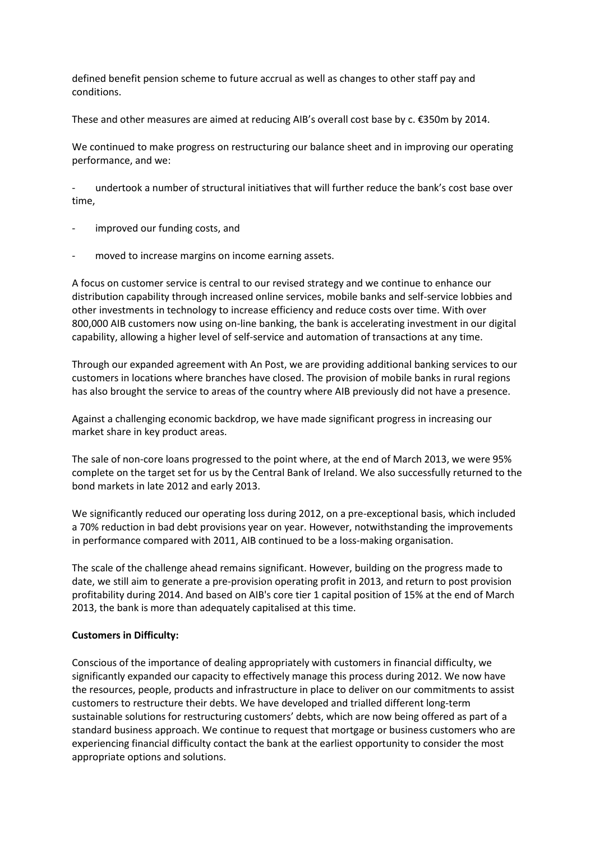defined benefit pension scheme to future accrual as well as changes to other staff pay and conditions.

These and other measures are aimed at reducing AIB's overall cost base by c. €350m by 2014.

We continued to make progress on restructuring our balance sheet and in improving our operating performance, and we:

- undertook a number of structural initiatives that will further reduce the bank's cost base over time,

- improved our funding costs, and
- moved to increase margins on income earning assets.

A focus on customer service is central to our revised strategy and we continue to enhance our distribution capability through increased online services, mobile banks and self-service lobbies and other investments in technology to increase efficiency and reduce costs over time. With over 800,000 AIB customers now using on-line banking, the bank is accelerating investment in our digital capability, allowing a higher level of self-service and automation of transactions at any time.

Through our expanded agreement with An Post, we are providing additional banking services to our customers in locations where branches have closed. The provision of mobile banks in rural regions has also brought the service to areas of the country where AIB previously did not have a presence.

Against a challenging economic backdrop, we have made significant progress in increasing our market share in key product areas.

The sale of non-core loans progressed to the point where, at the end of March 2013, we were 95% complete on the target set for us by the Central Bank of Ireland. We also successfully returned to the bond markets in late 2012 and early 2013.

We significantly reduced our operating loss during 2012, on a pre-exceptional basis, which included a 70% reduction in bad debt provisions year on year. However, notwithstanding the improvements in performance compared with 2011, AIB continued to be a loss-making organisation.

The scale of the challenge ahead remains significant. However, building on the progress made to date, we still aim to generate a pre-provision operating profit in 2013, and return to post provision profitability during 2014. And based on AIB's core tier 1 capital position of 15% at the end of March 2013, the bank is more than adequately capitalised at this time.

### **Customers in Difficulty:**

Conscious of the importance of dealing appropriately with customers in financial difficulty, we significantly expanded our capacity to effectively manage this process during 2012. We now have the resources, people, products and infrastructure in place to deliver on our commitments to assist customers to restructure their debts. We have developed and trialled different long-term sustainable solutions for restructuring customers' debts, which are now being offered as part of a standard business approach. We continue to request that mortgage or business customers who are experiencing financial difficulty contact the bank at the earliest opportunity to consider the most appropriate options and solutions.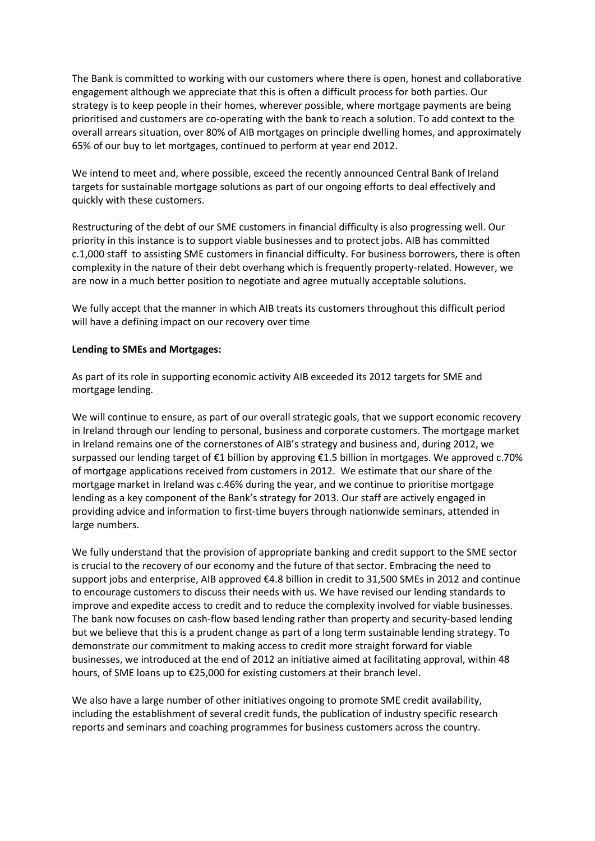The Bank is committed to working with our customers where there is open, honest and collaborative engagement although we appreciate that this is often a difficult process for both parties. Our strategy is to keep people in their homes, wherever possible, where mortgage payments are being prioritised and customers are co-operating with the bank to reach a solution. To add context to the overall arrears situation, over 80% of AIB mortgages on principle dwelling homes, and approximately 65% of our buy to let mortgages, continued to perform at year end 2012.

We intend to meet and, where possible, exceed the recently announced Central Bank of Ireland targets for sustainable mortgage solutions as part of our ongoing efforts to deal effectively and quickly with these customers.

Restructuring of the debt of our SME customers in financial difficulty is also progressing well. Our priority in this instance is to support viable businesses and to protect jobs. AIB has committed c.1,000 staff to assisting SME customers in financial difficulty. For business borrowers, there is often complexity in the nature of their debt overhang which is frequently property-related. However, we are now in a much better position to negotiate and agree mutually acceptable solutions.

We fully accept that the manner in which AIB treats its customers throughout this difficult period will have a defining impact on our recovery over time

### **Lending to SMEs and Mortgages:**

As part of its role in supporting economic activity AIB exceeded its 2012 targets for SME and mortgage lending.

We will continue to ensure, as part of our overall strategic goals, that we support economic recovery in Ireland through our lending to personal, business and corporate customers. The mortgage market in Ireland remains one of the cornerstones of AIB's strategy and business and, during 2012, we surpassed our lending target of €1 billion by approving €1.5 billion in mortgages. We approved c.70% of mortgage applications received from customers in 2012. We estimate that our share of the mortgage market in Ireland was c.46% during the year, and we continue to prioritise mortgage lending as a key component of the Bank's strategy for 2013. Our staff are actively engaged in providing advice and information to first-time buyers through nationwide seminars, attended in large numbers.

We fully understand that the provision of appropriate banking and credit support to the SME sector is crucial to the recovery of our economy and the future of that sector. Embracing the need to support jobs and enterprise, AIB approved €4.8 billion in credit to 31,500 SMEs in 2012 and continue to encourage customers to discuss their needs with us. We have revised our lending standards to improve and expedite access to credit and to reduce the complexity involved for viable businesses. The bank now focuses on cash-flow based lending rather than property and security-based lending but we believe that this is a prudent change as part of a long term sustainable lending strategy. To demonstrate our commitment to making access to credit more straight forward for viable businesses, we introduced at the end of 2012 an initiative aimed at facilitating approval, within 48 hours, of SME loans up to €25,000 for existing customers at their branch level.

We also have a large number of other initiatives ongoing to promote SME credit availability, including the establishment of several credit funds, the publication of industry specific research reports and seminars and coaching programmes for business customers across the country.